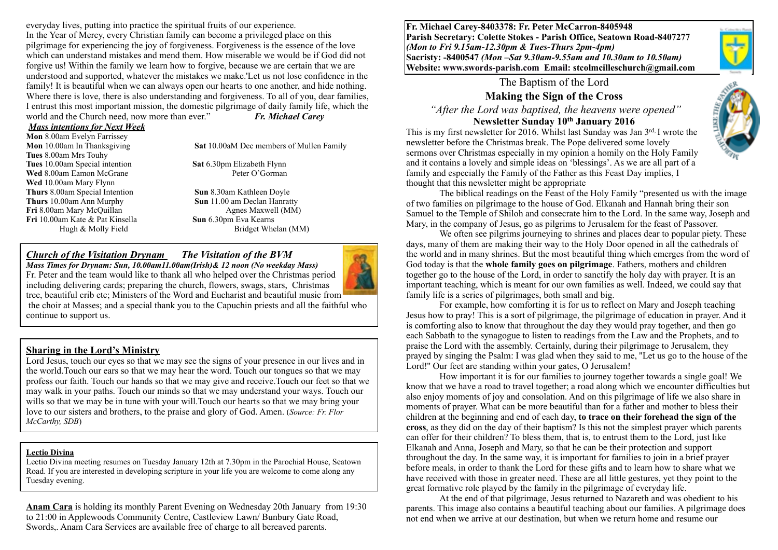everyday lives, putting into practice the spiritual fruits of our experience. In the Year of Mercy, every Christian family can become a privileged place on this pilgrimage for experiencing the joy of forgiveness. Forgiveness is the essence of the love which can understand mistakes and mend them. How miserable we would be if God did not forgive us! Within the family we learn how to forgive, because we are certain that we are understood and supported, whatever the mistakes we make.'Let us not lose confidence in the family! It is beautiful when we can always open our hearts to one another, and hide nothing. Where there is love, there is also understanding and forgiveness. To all of you, dear families, I entrust this most important mission, the domestic pilgrimage of daily family life, which the world and the Church need, now more than ever." *Fr. Michael Carey*

#### *Mass intentions for Next Week*

**Mon** 8.00am Evelyn Farrissey **Tues** 8.00am Mrs Touhy **Tues** 10.00am Special intention **Sat** 6.30pm Elizabeth Flynn<br> **Wed** 8.00am Eamon McGrane Peter O'Gorman **Wed 8.00am Eamon McGrane Wed** 10.00am Mary Flynn **Thurs** 8.00am Special Intention **Sun** 8.30am Kathleen Doyle **Thurs** 10.00am Ann Murphy **Sun** 11.00 am Declan Hanratty **Fri** 8.00am Mary McQuillan Agnes Maxwell (MM) **Fri** 10.00am Kate & Pat Kinsella **Sun** 6.30pm Eva Kearns

**Mon** 10.00am In Thanksgiving **Sat** 10.00aM Dec members of Mullen Family

Hugh & Molly Field Bridget Whelan (MM)

#### *Church of the Visitation Drynam**The Visitation of the BVM*

*Mass Times for Drynam: Sun, 10.00am11.00am(Irish)& 12 noon (No weekday Mass)*  Fr. Peter and the team would like to thank all who helped over the Christmas period including delivering cards; preparing the church, flowers, swags, stars, Christmas tree, beautiful crib etc; Ministers of the Word and Eucharist and beautiful music from

 the choir at Masses; and a special thank you to the Capuchin priests and all the faithful who continue to support us.

#### **Sharing in the Lord's Ministry**

Lord Jesus, touch our eyes so that we may see the signs of your presence in our lives and in the world.Touch our ears so that we may hear the word. Touch our tongues so that we may profess our faith. Touch our hands so that we may give and receive.Touch our feet so that we may walk in your paths. Touch our minds so that we may understand your ways. Touch our wills so that we may be in tune with your will. Touch our hearts so that we may bring your love to our sisters and brothers, to the praise and glory of God. Amen. (*Source: Fr. Flor McCarthy, SDB*)

#### **Lectio Divina**

Lectio Divina meeting resumes on Tuesday January 12th at 7.30pm in the Parochial House, Seatown Road. If you are interested in developing scripture in your life you are welcome to come along any Tuesday evening.

**Anam Cara** is holding its monthly Parent Evening on Wednesday 20th January from 19:30 to 21:00 in Applewoods Community Centre, Castleview Lawn/ Bunbury Gate Road, Swords,. Anam Cara Services are available free of charge to all bereaved parents.

**Fr. Michael Carey-8403378: Fr. Peter McCarron-8405948 Parish Secretary: Colette Stokes - Parish Office, Seatown Road-8407277**  *(Mon to Fri 9.15am-12.30pm & Tues-Thurs 2pm-4pm)*  **Sacristy: -8400547** *(Mon –Sat 9.30am-9.55am and 10.30am to 10.50am)* **Website: [www.swords-parish.com Email](http://www.swords-parish.com%20%20email): stcolmcilleschurch@gmail.com**

The Baptism of the Lord

### **Making the Sign of the Cross**

 *"After the Lord was baptised, the heavens were opened"*  **Newsletter Sunday 10th January 2016** 



This is my first newsletter for 2016. Whilst last Sunday was Jan 3rd, I wrote the newsletter before the Christmas break. The Pope delivered some lovely sermons over Christmas especially in my opinion a homily on the Holy Family and it contains a lovely and simple ideas on 'blessings'. As we are all part of a family and especially the Family of the Father as this Feast Day implies, I thought that this newsletter might be appropriate

The biblical readings on the Feast of the Holy Family "presented us with the image of two families on pilgrimage to the house of God. Elkanah and Hannah bring their son Samuel to the Temple of Shiloh and consecrate him to the Lord. In the same way, Joseph and Mary, in the company of Jesus, go as pilgrims to Jerusalem for the feast of Passover.

We often see pilgrims journeying to shrines and places dear to popular piety. These days, many of them are making their way to the Holy Door opened in all the cathedrals of the world and in many shrines. But the most beautiful thing which emerges from the word of God today is that the **whole family goes on pilgrimage**. Fathers, mothers and children together go to the house of the Lord, in order to sanctify the holy day with prayer. It is an important teaching, which is meant for our own families as well. Indeed, we could say that family life is a series of pilgrimages, both small and big.

For example, how comforting it is for us to reflect on Mary and Joseph teaching Jesus how to pray! This is a sort of pilgrimage, the pilgrimage of education in prayer. And it is comforting also to know that throughout the day they would pray together, and then go each Sabbath to the synagogue to listen to readings from the Law and the Prophets, and to praise the Lord with the assembly. Certainly, during their pilgrimage to Jerusalem, they prayed by singing the Psalm: I was glad when they said to me, ''Let us go to the house of the Lord!'' Our feet are standing within your gates, O Jerusalem!

How important it is for our families to journey together towards a single goal! We know that we have a road to travel together; a road along which we encounter difficulties but also enjoy moments of joy and consolation. And on this pilgrimage of life we also share in moments of prayer. What can be more beautiful than for a father and mother to bless their children at the beginning and end of each day, **to trace on their forehead the sign of the cross**, as they did on the day of their baptism? Is this not the simplest prayer which parents can offer for their children? To bless them, that is, to entrust them to the Lord, just like Elkanah and Anna, Joseph and Mary, so that he can be their protection and support throughout the day. In the same way, it is important for families to join in a brief prayer before meals, in order to thank the Lord for these gifts and to learn how to share what we have received with those in greater need. These are all little gestures, yet they point to the great formative role played by the family in the pilgrimage of everyday life.

At the end of that pilgrimage, Jesus returned to Nazareth and was obedient to his parents. This image also contains a beautiful teaching about our families. A pilgrimage does not end when we arrive at our destination, but when we return home and resume our